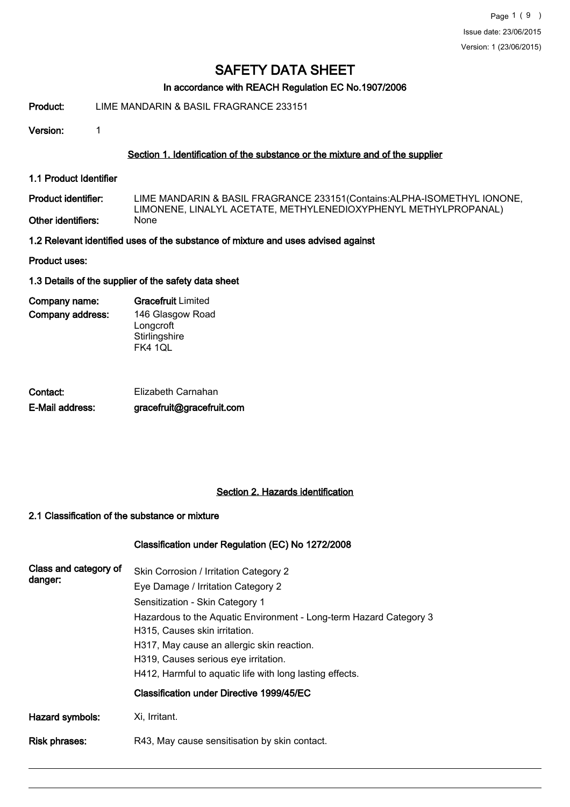#### In accordance with REACH Regulation EC No.1907/2006

#### Product: LIME MANDARIN & BASIL FRAGRANCE 233151

Version: 1

#### Section 1. Identification of the substance or the mixture and of the supplier

1.1 Product Identifier

LIME MANDARIN & BASIL FRAGRANCE 233151(Contains:ALPHA-ISOMETHYL IONONE, LIMONENE, LINALYL ACETATE, METHYLENEDIOXYPHENYL METHYLPROPANAL) Product identifier: Other identifiers:

1.2 Relevant identified uses of the substance of mixture and uses advised against

Product uses:

#### 1.3 Details of the supplier of the safety data sheet

| Company name:    | <b>Gracefruit Limited</b> |
|------------------|---------------------------|
| Company address: | 146 Glasgow Road          |
|                  | Longcroft                 |
|                  | Stirlingshire             |
|                  | FK4 1QL                   |

| Contact:        | Elizabeth Carnahan        |
|-----------------|---------------------------|
| E-Mail address: | gracefruit@gracefruit.com |

#### Section 2. Hazards identification

#### 2.1 Classification of the substance or mixture

#### Classification under Regulation (EC) No 1272/2008

| Class and category of<br>danger: | Skin Corrosion / Irritation Category 2<br>Eye Damage / Irritation Category 2<br>Sensitization - Skin Category 1<br>Hazardous to the Aquatic Environment - Long-term Hazard Category 3<br>H315, Causes skin irritation.<br>H317, May cause an allergic skin reaction.<br>H319, Causes serious eye irritation.<br>H412, Harmful to aguatic life with long lasting effects. |
|----------------------------------|--------------------------------------------------------------------------------------------------------------------------------------------------------------------------------------------------------------------------------------------------------------------------------------------------------------------------------------------------------------------------|
|                                  | Classification under Directive 1999/45/EC                                                                                                                                                                                                                                                                                                                                |
| Hazard symbols:                  | Xi, Irritant.                                                                                                                                                                                                                                                                                                                                                            |
| Risk phrases:                    | R43, May cause sensitisation by skin contact.                                                                                                                                                                                                                                                                                                                            |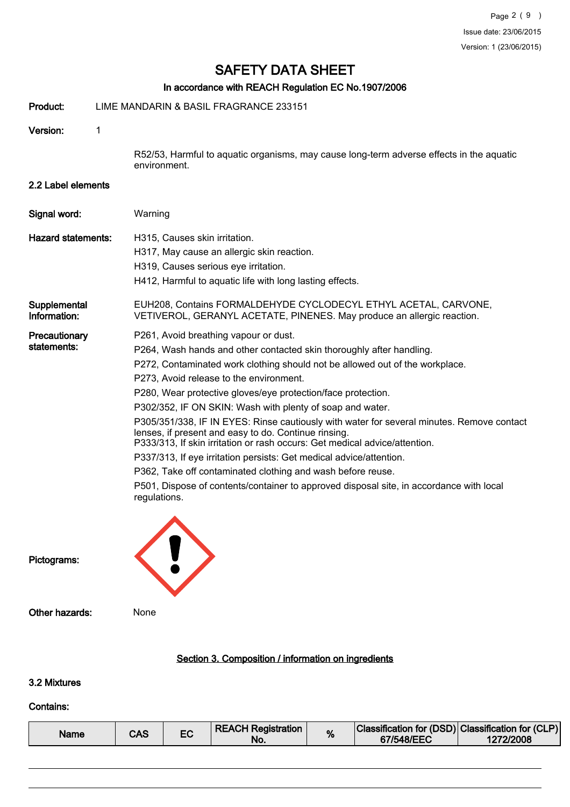## In accordance with REACH Regulation EC No.1907/2006

|                              |   | In accordance with REACH Regulation EC No.1907/2006                                                                                                                                                                                                                                                                                                                                                                                                                                                                                                                                                                                                                                                                                                                                                                                                       |
|------------------------------|---|-----------------------------------------------------------------------------------------------------------------------------------------------------------------------------------------------------------------------------------------------------------------------------------------------------------------------------------------------------------------------------------------------------------------------------------------------------------------------------------------------------------------------------------------------------------------------------------------------------------------------------------------------------------------------------------------------------------------------------------------------------------------------------------------------------------------------------------------------------------|
| Product:                     |   | LIME MANDARIN & BASIL FRAGRANCE 233151                                                                                                                                                                                                                                                                                                                                                                                                                                                                                                                                                                                                                                                                                                                                                                                                                    |
| Version:                     | 1 |                                                                                                                                                                                                                                                                                                                                                                                                                                                                                                                                                                                                                                                                                                                                                                                                                                                           |
|                              |   | R52/53, Harmful to aquatic organisms, may cause long-term adverse effects in the aquatic<br>environment.                                                                                                                                                                                                                                                                                                                                                                                                                                                                                                                                                                                                                                                                                                                                                  |
| 2.2 Label elements           |   |                                                                                                                                                                                                                                                                                                                                                                                                                                                                                                                                                                                                                                                                                                                                                                                                                                                           |
| Signal word:                 |   | Warning                                                                                                                                                                                                                                                                                                                                                                                                                                                                                                                                                                                                                                                                                                                                                                                                                                                   |
| <b>Hazard statements:</b>    |   | H315, Causes skin irritation.<br>H317, May cause an allergic skin reaction.<br>H319, Causes serious eye irritation.<br>H412, Harmful to aquatic life with long lasting effects.                                                                                                                                                                                                                                                                                                                                                                                                                                                                                                                                                                                                                                                                           |
| Supplemental<br>Information: |   | EUH208, Contains FORMALDEHYDE CYCLODECYL ETHYL ACETAL, CARVONE,<br>VETIVEROL, GERANYL ACETATE, PINENES. May produce an allergic reaction.                                                                                                                                                                                                                                                                                                                                                                                                                                                                                                                                                                                                                                                                                                                 |
| Precautionary<br>statements: |   | P261, Avoid breathing vapour or dust.<br>P264, Wash hands and other contacted skin thoroughly after handling.<br>P272, Contaminated work clothing should not be allowed out of the workplace.<br>P273, Avoid release to the environment.<br>P280, Wear protective gloves/eye protection/face protection.<br>P302/352, IF ON SKIN: Wash with plenty of soap and water.<br>P305/351/338, IF IN EYES: Rinse cautiously with water for several minutes. Remove contact<br>lenses, if present and easy to do. Continue rinsing.<br>P333/313, If skin irritation or rash occurs: Get medical advice/attention.<br>P337/313, If eye irritation persists: Get medical advice/attention.<br>P362, Take off contaminated clothing and wash before reuse.<br>P501, Dispose of contents/container to approved disposal site, in accordance with local<br>regulations. |
| Pictograms:                  |   |                                                                                                                                                                                                                                                                                                                                                                                                                                                                                                                                                                                                                                                                                                                                                                                                                                                           |
| Other hazards:               |   | None                                                                                                                                                                                                                                                                                                                                                                                                                                                                                                                                                                                                                                                                                                                                                                                                                                                      |

## Section 3. Composition / information on ingredients

## 3.2 Mixtures

#### Contains:

| Name | CAS |  | <b>REACH Registration</b><br>No. | % | Classification for (DSD) Classification for (CLP) <br>67/548/EEC | 1272/2008 |
|------|-----|--|----------------------------------|---|------------------------------------------------------------------|-----------|
|------|-----|--|----------------------------------|---|------------------------------------------------------------------|-----------|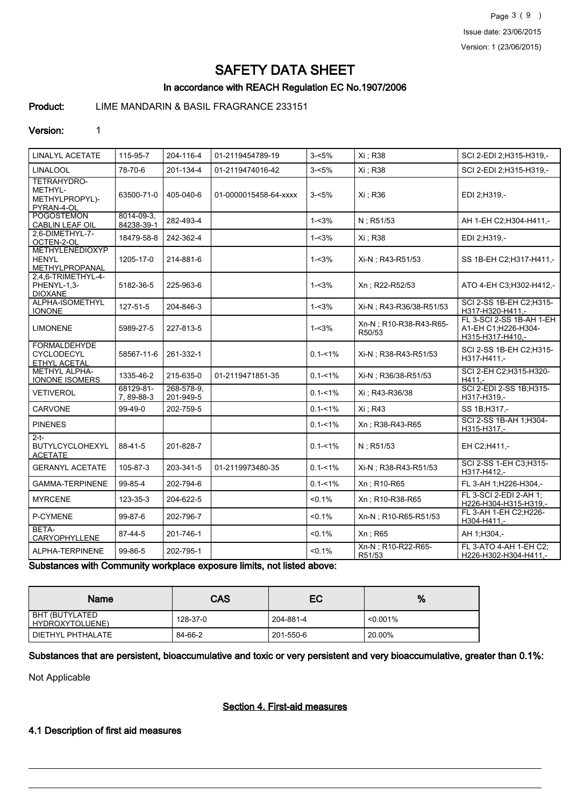Page 3 ( 9 ) Issue date: 23/06/2015 Version: 1 (23/06/2015)

# SAFETY DATA SHEET

### In accordance with REACH Regulation EC No.1907/2006

Product: LIME MANDARIN & BASIL FRAGRANCE 233151

#### Version: 1

| <b>LINALYL ACETATE</b>                                   | 115-95-7                 | 204-116-4               | 01-2119454789-19      | $3 - 5%$    | Xi : R38                         | SCI 2-EDI 2;H315-H319,-                                             |
|----------------------------------------------------------|--------------------------|-------------------------|-----------------------|-------------|----------------------------------|---------------------------------------------------------------------|
| <b>LINALOOL</b>                                          | 78-70-6                  | 201-134-4               | 01-2119474016-42      | $3 - 5%$    | Xi ; R38                         | SCI 2-EDI 2:H315-H319.-                                             |
| TETRAHYDRO-<br>METHYL-<br>METHYLPROPYL)-<br>PYRAN-4-OL   | 63500-71-0               | 405-040-6               | 01-0000015458-64-xxxx | $3 - 5%$    | Xi: R36                          | EDI 2;H319,-                                                        |
| <b>POGOSTEMON</b><br><b>CABLIN LEAF OIL</b>              | 8014-09-3.<br>84238-39-1 | 282-493-4               |                       | $1 - 3%$    | N: R51/53                        | AH 1-EH C2;H304-H411,-                                              |
| 2.6-DIMETHYL-7-<br>OCTEN-2-OL                            | 18479-58-8               | 242-362-4               |                       | $1 - 3%$    | Xi: R38                          | EDI 2:H319,-                                                        |
| <b>METHYLENEDIOXYP</b><br><b>HENYL</b><br>METHYLPROPANAL | 1205-17-0                | 214-881-6               |                       | $1 - 3%$    | Xi-N ; R43-R51/53                | SS 1B-EH C2:H317-H411.-                                             |
| 2.4.6-TRIMETHYL-4-<br>PHENYL-1,3-<br><b>DIOXANE</b>      | 5182-36-5                | 225-963-6               |                       | $1 - 3%$    | Xn; R22-R52/53                   | ATO 4-EH C3: H302-H412,-                                            |
| ALPHA-ISOMETHYL<br><b>IONONE</b>                         | 127-51-5                 | 204-846-3               |                       | $1 - 3%$    | Xi-N : R43-R36/38-R51/53         | SCI 2-SS 1B-EH C2;H315-<br>H317-H320-H411,-                         |
| <b>LIMONENE</b>                                          | 5989-27-5                | 227-813-5               |                       | $1 - 3%$    | Xn-N; R10-R38-R43-R65-<br>R50/53 | FL 3-SCI 2-SS 1B-AH 1-EH<br>A1-EH C1;H226-H304-<br>H315-H317-H410,- |
| <b>FORMALDEHYDE</b><br>CYCLODECYL<br>ETHYL ACETAL        | 58567-11-6               | 261-332-1               |                       | $0.1 - 1\%$ | Xi-N; R38-R43-R51/53             | SCI 2-SS 1B-EH C2:H315-<br>H317-H411,-                              |
| <b>METHYL ALPHA-</b><br><b>IONONE ISOMERS</b>            | 1335-46-2                | 215-635-0               | 01-2119471851-35      | $0.1 - 1\%$ | Xi-N ; R36/38-R51/53             | SCI 2-EH C2; H315-H320-<br>$H411. -$                                |
| <b>VETIVEROL</b>                                         | 68129-81-<br>7, 89-88-3  | 268-578-9.<br>201-949-5 |                       | $0.1 - 1\%$ | Xi: R43-R36/38                   | SCI 2-EDI 2-SS 1B; H315-<br>H317-H319,-                             |
| CARVONE                                                  | 99-49-0                  | 202-759-5               |                       | $0.1 - 1\%$ | Xi: R43                          | SS 1B:H317,-                                                        |
| <b>PINENES</b>                                           |                          |                         |                       | $0.1 - 1\%$ | Xn: R38-R43-R65                  | SCI 2-SS 1B-AH 1; H304-<br>H315-H317,-                              |
| $2-t$<br><b>BUTYLCYCLOHEXYL</b><br><b>ACETATE</b>        | 88-41-5                  | 201-828-7               |                       | $0.1 - 1\%$ | N: R51/53                        | EH C2:H411,-                                                        |
| <b>GERANYL ACETATE</b>                                   | 105-87-3                 | 203-341-5               | 01-2119973480-35      | $0.1 - 1\%$ | Xi-N : R38-R43-R51/53            | SCI 2-SS 1-EH C3;H315-<br>H317-H412,-                               |
| <b>GAMMA-TERPINENE</b>                                   | 99-85-4                  | 202-794-6               |                       | $0.1 - 1\%$ | Xn : R10-R65                     | FL 3-AH 1;H226-H304,-                                               |
| <b>MYRCENE</b>                                           | 123-35-3                 | 204-622-5               |                       | < 0.1%      | Xn: R10-R38-R65                  | FL 3-SCI 2-EDI 2-AH 1:<br>H226-H304-H315-H319,-                     |
| P-CYMENE                                                 | 99-87-6                  | 202-796-7               |                       | < 0.1%      | Xn-N ; R10-R65-R51/53            | FL 3-AH 1-EH C2; H226-<br>H304-H411,-                               |
| BETA-<br>CARYOPHYLLENE                                   | 87-44-5                  | 201-746-1               |                       | < 0.1%      | Xn : R65                         | AH 1:H304,-                                                         |
| ALPHA-TERPINENE                                          | 99-86-5                  | 202-795-1               |                       | < 0.1%      | Xn-N ; R10-R22-R65-<br>R51/53    | FL 3-ATO 4-AH 1-EH C2:<br>H226-H302-H304-H411,-                     |

Substances with Community workplace exposure limits, not listed above:

| <b>Name</b>                       | <b>CAS</b> | EC        | %           |
|-----------------------------------|------------|-----------|-------------|
| BHT (BUTYLATED<br>HYDROXYTOLUENE) | 128-37-0   | 204-881-4 | $< 0.001\%$ |
| DIETHYL PHTHALATE                 | 84-66-2    | 201-550-6 | 20.00%      |

Substances that are persistent, bioaccumulative and toxic or very persistent and very bioaccumulative, greater than 0.1%:

Not Applicable

#### Section 4. First-aid measures

#### 4.1 Description of first aid measures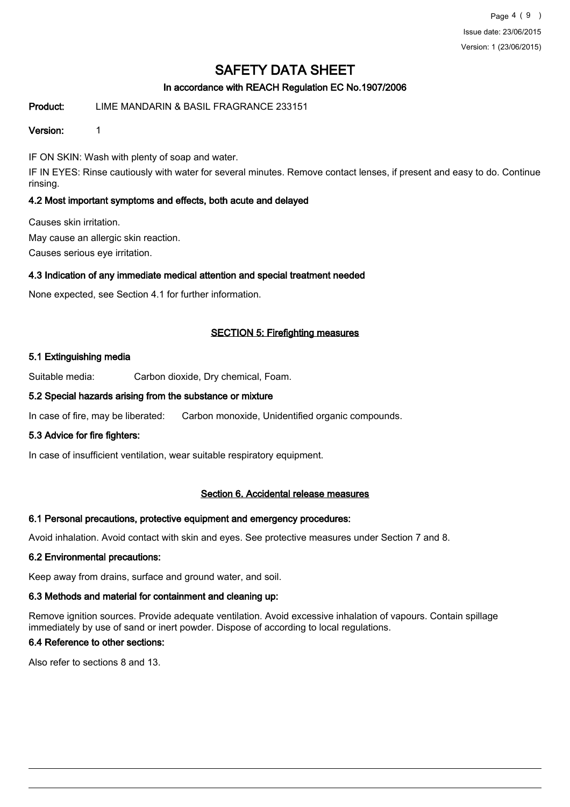Page 4 ( 9 ) Issue date: 23/06/2015 Version: 1 (23/06/2015)

## SAFETY DATA SHEET

### In accordance with REACH Regulation EC No.1907/2006

#### Product: LIME MANDARIN & BASIL FRAGRANCE 233151

#### Version: 1

IF ON SKIN: Wash with plenty of soap and water.

IF IN EYES: Rinse cautiously with water for several minutes. Remove contact lenses, if present and easy to do. Continue rinsing.

#### 4.2 Most important symptoms and effects, both acute and delayed

Causes skin irritation. May cause an allergic skin reaction.

Causes serious eye irritation.

#### 4.3 Indication of any immediate medical attention and special treatment needed

None expected, see Section 4.1 for further information.

#### SECTION 5: Firefighting measures

#### 5.1 Extinguishing media

Suitable media: Carbon dioxide, Dry chemical, Foam.

#### 5.2 Special hazards arising from the substance or mixture

In case of fire, may be liberated: Carbon monoxide, Unidentified organic compounds.

#### 5.3 Advice for fire fighters:

In case of insufficient ventilation, wear suitable respiratory equipment.

#### Section 6. Accidental release measures

#### 6.1 Personal precautions, protective equipment and emergency procedures:

Avoid inhalation. Avoid contact with skin and eyes. See protective measures under Section 7 and 8.

#### 6.2 Environmental precautions:

Keep away from drains, surface and ground water, and soil.

#### 6.3 Methods and material for containment and cleaning up:

Remove ignition sources. Provide adequate ventilation. Avoid excessive inhalation of vapours. Contain spillage immediately by use of sand or inert powder. Dispose of according to local regulations.

## 6.4 Reference to other sections:

Also refer to sections 8 and 13.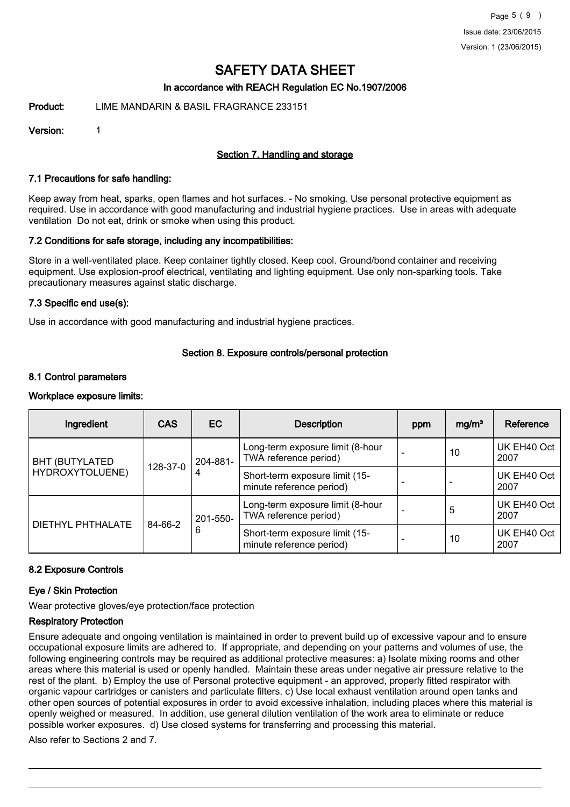#### In accordance with REACH Regulation EC No.1907/2006

Product: LIME MANDARIN & BASIL FRAGRANCE 233151

Version: 1

#### Section 7. Handling and storage

#### 7.1 Precautions for safe handling:

Keep away from heat, sparks, open flames and hot surfaces. - No smoking. Use personal protective equipment as required. Use in accordance with good manufacturing and industrial hygiene practices. Use in areas with adequate ventilation Do not eat, drink or smoke when using this product.

#### 7.2 Conditions for safe storage, including any incompatibilities:

Store in a well-ventilated place. Keep container tightly closed. Keep cool. Ground/bond container and receiving equipment. Use explosion-proof electrical, ventilating and lighting equipment. Use only non-sparking tools. Take precautionary measures against static discharge.

#### 7.3 Specific end use(s):

Use in accordance with good manufacturing and industrial hygiene practices.

#### Section 8. Exposure controls/personal protection

#### 8.1 Control parameters

#### Workplace exposure limits:

| Ingredient                               | <b>CAS</b> | EC            | <b>Description</b>                                         | ppm | mg/m <sup>3</sup> | Reference           |
|------------------------------------------|------------|---------------|------------------------------------------------------------|-----|-------------------|---------------------|
| <b>BHT (BUTYLATED</b><br>HYDROXYTOLUENE) |            | 204-881-<br>4 | Long-term exposure limit (8-hour<br>TWA reference period)  |     | 10                | UK EH40 Oct<br>2007 |
|                                          | 128-37-0   |               | Short-term exposure limit (15-<br>minute reference period) |     |                   | UK EH40 Oct<br>2007 |
| DIETHYL PHTHALATE                        | 84-66-2    | 201-550-<br>6 | Long-term exposure limit (8-hour<br>TWA reference period)  |     | 5                 | UK EH40 Oct<br>2007 |
|                                          |            |               | Short-term exposure limit (15-<br>minute reference period) |     | 10                | UK EH40 Oct<br>2007 |

#### 8.2 Exposure Controls

#### Eye / Skin Protection

Wear protective gloves/eye protection/face protection

#### Respiratory Protection

Ensure adequate and ongoing ventilation is maintained in order to prevent build up of excessive vapour and to ensure occupational exposure limits are adhered to. If appropriate, and depending on your patterns and volumes of use, the following engineering controls may be required as additional protective measures: a) Isolate mixing rooms and other areas where this material is used or openly handled. Maintain these areas under negative air pressure relative to the rest of the plant. b) Employ the use of Personal protective equipment - an approved, properly fitted respirator with organic vapour cartridges or canisters and particulate filters. c) Use local exhaust ventilation around open tanks and other open sources of potential exposures in order to avoid excessive inhalation, including places where this material is openly weighed or measured. In addition, use general dilution ventilation of the work area to eliminate or reduce possible worker exposures. d) Use closed systems for transferring and processing this material.

Also refer to Sections 2 and 7.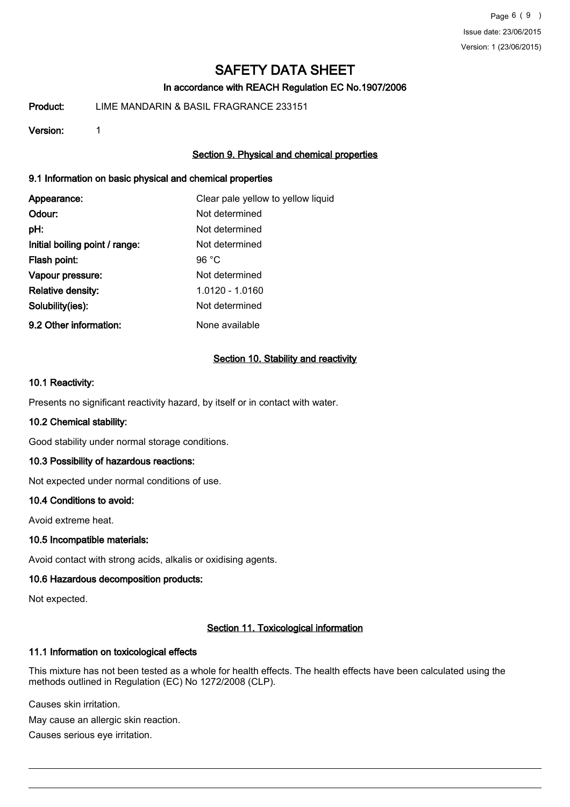Page 6 ( 9 ) Issue date: 23/06/2015 Version: 1 (23/06/2015)

# SAFETY DATA SHEET

### In accordance with REACH Regulation EC No.1907/2006

Product: LIME MANDARIN & BASIL FRAGRANCE 233151

#### Version: 1

### Section 9. Physical and chemical properties

#### 9.1 Information on basic physical and chemical properties

| Appearance:                    | Clear pale yellow to yellow liquid |
|--------------------------------|------------------------------------|
| Odour:                         | Not determined                     |
| pH:                            | Not determined                     |
| Initial boiling point / range: | Not determined                     |
| Flash point:                   | 96 $°C$                            |
| Vapour pressure:               | Not determined                     |
| <b>Relative density:</b>       | 1.0120 - 1.0160                    |
| Solubility(ies):               | Not determined                     |
| 9.2 Other information:         | None available                     |

#### Section 10. Stability and reactivity

#### 10.1 Reactivity:

Presents no significant reactivity hazard, by itself or in contact with water.

#### 10.2 Chemical stability:

Good stability under normal storage conditions.

#### 10.3 Possibility of hazardous reactions:

Not expected under normal conditions of use.

#### 10.4 Conditions to avoid:

Avoid extreme heat.

#### 10.5 Incompatible materials:

Avoid contact with strong acids, alkalis or oxidising agents.

#### 10.6 Hazardous decomposition products:

Not expected.

#### Section 11. Toxicological information

#### 11.1 Information on toxicological effects

This mixture has not been tested as a whole for health effects. The health effects have been calculated using the methods outlined in Regulation (EC) No 1272/2008 (CLP).

Causes skin irritation.

May cause an allergic skin reaction.

Causes serious eye irritation.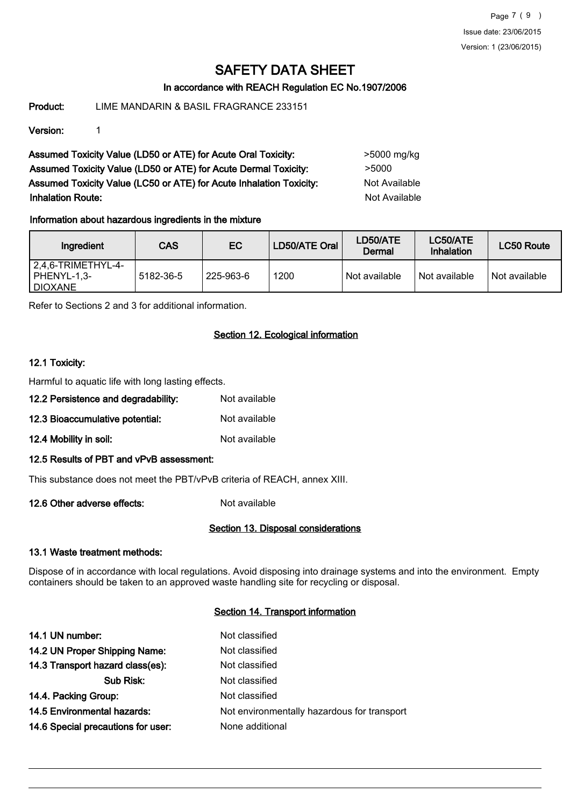Page 7 ( 9 ) Issue date: 23/06/2015 Version: 1 (23/06/2015)

## SAFETY DATA SHEET

#### In accordance with REACH Regulation EC No.1907/2006

Product: LIME MANDARIN & BASIL FRAGRANCE 233151

Version: 1

Assumed Toxicity Value (LD50 or ATE) for Acute Oral Toxicity: >5000 mg/kg Assumed Toxicity Value (LD50 or ATE) for Acute Dermal Toxicity: > 5000 Assumed Toxicity Value (LC50 or ATE) for Acute Inhalation Toxicity: Not Available **Inhalation Route:** Not Available

#### Information about hazardous ingredients in the mixture

| Ingredient                                             | <b>CAS</b> | EC.       | LD50/ATE Oral | LD50/ATE<br>Dermal | LC50/ATE<br><b>Inhalation</b> | <b>LC50 Route</b> |
|--------------------------------------------------------|------------|-----------|---------------|--------------------|-------------------------------|-------------------|
| $2,4,6$ -TRIMETHYL-4-<br>PHENYL-1,3-<br><b>DIOXANE</b> | 5182-36-5  | 225-963-6 | 1200          | Not available      | Not available                 | Not available     |

Refer to Sections 2 and 3 for additional information.

#### Section 12. Ecological information

#### 12.1 Toxicity:

Harmful to aquatic life with long lasting effects.

- 12.2 Persistence and degradability: Not available
- 12.3 Bioaccumulative potential: Not available
- 12.4 Mobility in soil: Not available

#### 12.5 Results of PBT and vPvB assessment:

This substance does not meet the PBT/vPvB criteria of REACH, annex XIII.

12.6 Other adverse effects: Not available

#### Section 13. Disposal considerations

#### 13.1 Waste treatment methods:

Dispose of in accordance with local regulations. Avoid disposing into drainage systems and into the environment. Empty containers should be taken to an approved waste handling site for recycling or disposal.

#### Section 14. Transport information

| 14.1 UN number:                    | Not classified                              |
|------------------------------------|---------------------------------------------|
| 14.2 UN Proper Shipping Name:      | Not classified                              |
| 14.3 Transport hazard class(es):   | Not classified                              |
| Sub Risk:                          | Not classified                              |
| 14.4. Packing Group:               | Not classified                              |
| <b>14.5 Environmental hazards:</b> | Not environmentally hazardous for transport |
| 14.6 Special precautions for user: | None additional                             |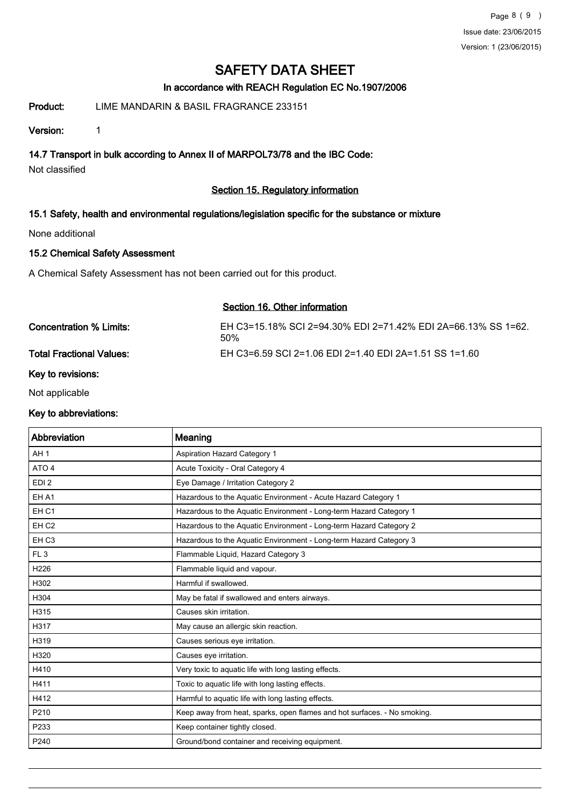#### In accordance with REACH Regulation EC No.1907/2006

### Product: LIME MANDARIN & BASIL FRAGRANCE 233151

Version: 1

14.7 Transport in bulk according to Annex II of MARPOL73/78 and the IBC Code:

Not classified

## Section 15. Regulatory information

### 15.1 Safety, health and environmental regulations/legislation specific for the substance or mixture

None additional

#### 15.2 Chemical Safety Assessment

A Chemical Safety Assessment has not been carried out for this product.

#### Section 16. Other information

| Concentration % Limits:         | EH C3=15.18% SCI 2=94.30% EDI 2=71.42% EDI 2A=66.13% SS 1=62.<br>50% |
|---------------------------------|----------------------------------------------------------------------|
| <b>Total Fractional Values:</b> | EH C3=6.59 SCI 2=1.06 EDI 2=1.40 EDI 2A=1.51 SS 1=1.60               |

#### Key to revisions:

Not applicable

#### Key to abbreviations:

| Abbreviation     | Meaning                                                                  |
|------------------|--------------------------------------------------------------------------|
| AH <sub>1</sub>  | Aspiration Hazard Category 1                                             |
| ATO 4            | Acute Toxicity - Oral Category 4                                         |
| EDI <sub>2</sub> | Eye Damage / Irritation Category 2                                       |
| EH A1            | Hazardous to the Aquatic Environment - Acute Hazard Category 1           |
| EH <sub>C1</sub> | Hazardous to the Aquatic Environment - Long-term Hazard Category 1       |
| EH <sub>C2</sub> | Hazardous to the Aquatic Environment - Long-term Hazard Category 2       |
| EH <sub>C3</sub> | Hazardous to the Aquatic Environment - Long-term Hazard Category 3       |
| FL <sub>3</sub>  | Flammable Liquid, Hazard Category 3                                      |
| H226             | Flammable liquid and vapour.                                             |
| H302             | Harmful if swallowed.                                                    |
| H304             | May be fatal if swallowed and enters airways.                            |
| H315             | Causes skin irritation.                                                  |
| H317             | May cause an allergic skin reaction.                                     |
| H319             | Causes serious eye irritation.                                           |
| H320             | Causes eye irritation.                                                   |
| H410             | Very toxic to aquatic life with long lasting effects.                    |
| H411             | Toxic to aquatic life with long lasting effects.                         |
| H412             | Harmful to aquatic life with long lasting effects.                       |
| P210             | Keep away from heat, sparks, open flames and hot surfaces. - No smoking. |
| P233             | Keep container tightly closed.                                           |
| P240             | Ground/bond container and receiving equipment.                           |